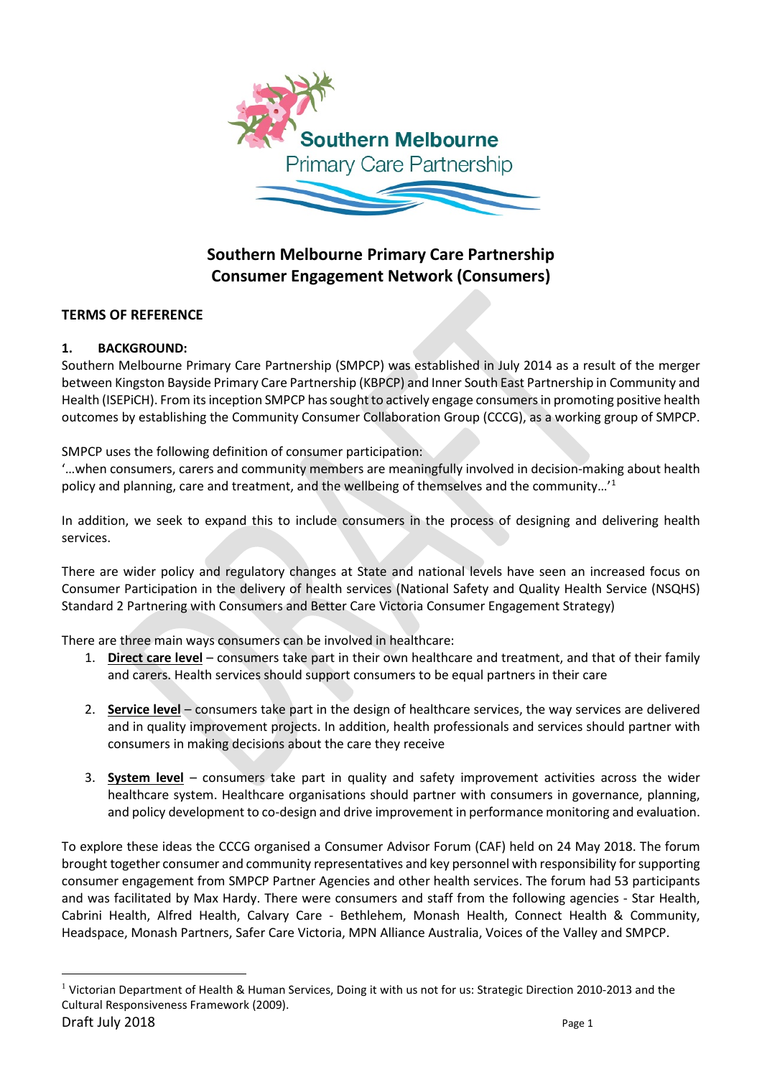

# **Southern Melbourne Primary Care Partnership Consumer Engagement Network (Consumers)**

## **TERMS OF REFERENCE**

## **1. BACKGROUND:**

Southern Melbourne Primary Care Partnership (SMPCP) was established in July 2014 as a result of the merger between Kingston Bayside Primary Care Partnership (KBPCP) and Inner South East Partnership in Community and Health (ISEPiCH). From its inception SMPCP has sought to actively engage consumers in promoting positive health outcomes by establishing the Community Consumer Collaboration Group (CCCG), as a working group of SMPCP.

SMPCP uses the following definition of consumer participation:

'…when consumers, carers and community members are meaningfully involved in decision-making about health policy and planning, care and treatment, and the wellbeing of themselves and the community…'[1](#page-0-0)

In addition, we seek to expand this to include consumers in the process of designing and delivering health services.

There are wider policy and regulatory changes at State and national levels have seen an increased focus on Consumer Participation in the delivery of health services (National Safety and Quality Health Service (NSQHS) Standard 2 Partnering with Consumers and Better Care Victoria Consumer Engagement Strategy)

There are three main ways consumers can be involved in healthcare:

- 1. **Direct care level** consumers take part in their own healthcare and treatment, and that of their family and carers. Health services should support consumers to be equal partners in their care
- 2. **Service level** consumers take part in the design of healthcare services, the way services are delivered and in quality improvement projects. In addition, health professionals and services should partner with consumers in making decisions about the care they receive
- 3. **System level** consumers take part in quality and safety improvement activities across the wider healthcare system. Healthcare organisations should partner with consumers in governance, planning, and policy development to co-design and drive improvement in performance monitoring and evaluation.

To explore these ideas the CCCG organised a Consumer Advisor Forum (CAF) held on 24 May 2018. The forum brought together consumer and community representatives and key personnel with responsibility for supporting consumer engagement from SMPCP Partner Agencies and other health services. The forum had 53 participants and was facilitated by Max Hardy. There were consumers and staff from the following agencies - Star Health, Cabrini Health, Alfred Health, Calvary Care - Bethlehem, Monash Health, Connect Health & Community, Headspace, Monash Partners, Safer Care Victoria, MPN Alliance Australia, Voices of the Valley and SMPCP.

<span id="page-0-0"></span>Draft July 2018 **Page 1** <sup>1</sup> Victorian Department of Health & Human Services, Doing it with us not for us: Strategic Direction 2010-2013 and the Cultural Responsiveness Framework (2009).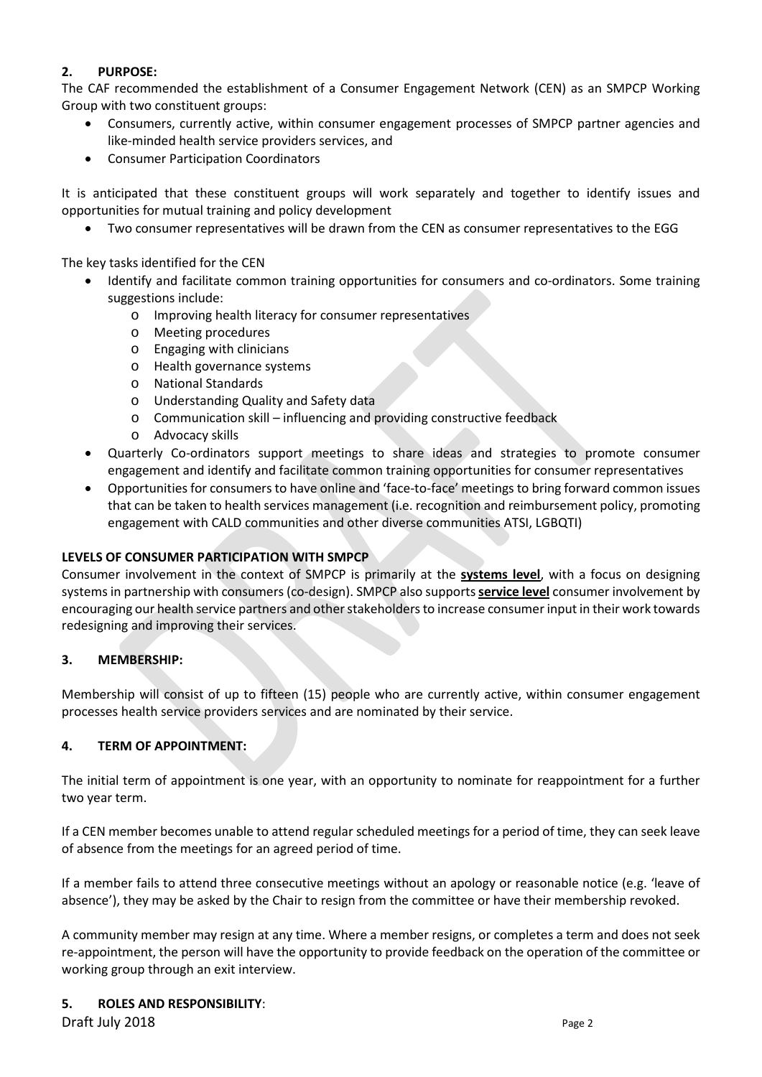## **2. PURPOSE:**

The CAF recommended the establishment of a Consumer Engagement Network (CEN) as an SMPCP Working Group with two constituent groups:

- Consumers, currently active, within consumer engagement processes of SMPCP partner agencies and like-minded health service providers services, and
- Consumer Participation Coordinators

It is anticipated that these constituent groups will work separately and together to identify issues and opportunities for mutual training and policy development

• Two consumer representatives will be drawn from the CEN as consumer representatives to the EGG

The key tasks identified for the CEN

- Identify and facilitate common training opportunities for consumers and co-ordinators. Some training suggestions include:
	- o Improving health literacy for consumer representatives
	- o Meeting procedures
	- o Engaging with clinicians
	- o Health governance systems
	- o National Standards
	- o Understanding Quality and Safety data
	- o Communication skill influencing and providing constructive feedback
	- o Advocacy skills
- Quarterly Co-ordinators support meetings to share ideas and strategies to promote consumer engagement and identify and facilitate common training opportunities for consumer representatives
- Opportunities for consumers to have online and 'face-to-face' meetings to bring forward common issues that can be taken to health services management (i.e. recognition and reimbursement policy, promoting engagement with CALD communities and other diverse communities ATSI, LGBQTI)

## **LEVELS OF CONSUMER PARTICIPATION WITH SMPCP**

Consumer involvement in the context of SMPCP is primarily at the **systems level**, with a focus on designing systems in partnership with consumers (co-design). SMPCP also supports **service level** consumer involvement by encouraging our health service partners and other stakeholders to increase consumer input in their work towards redesigning and improving their services.

## **3. MEMBERSHIP:**

Membership will consist of up to fifteen (15) people who are currently active, within consumer engagement processes health service providers services and are nominated by their service.

## **4. TERM OF APPOINTMENT:**

The initial term of appointment is one year, with an opportunity to nominate for reappointment for a further two year term.

If a CEN member becomes unable to attend regular scheduled meetings for a period of time, they can seek leave of absence from the meetings for an agreed period of time.

If a member fails to attend three consecutive meetings without an apology or reasonable notice (e.g. 'leave of absence'), they may be asked by the Chair to resign from the committee or have their membership revoked.

A community member may resign at any time. Where a member resigns, or completes a term and does not seek re-appointment, the person will have the opportunity to provide feedback on the operation of the committee or working group through an exit interview.

#### **5. ROLES AND RESPONSIBILITY**:

**Draft July 2018** Page 2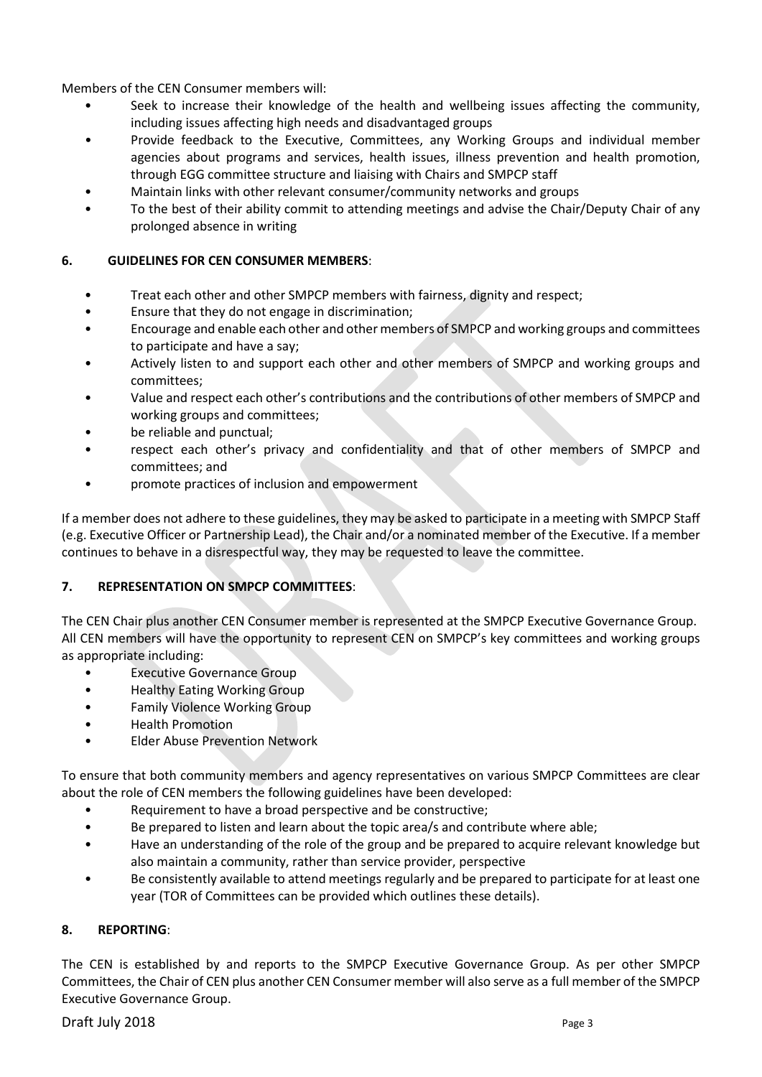Members of the CEN Consumer members will:

- Seek to increase their knowledge of the health and wellbeing issues affecting the community, including issues affecting high needs and disadvantaged groups
- Provide feedback to the Executive, Committees, any Working Groups and individual member agencies about programs and services, health issues, illness prevention and health promotion, through EGG committee structure and liaising with Chairs and SMPCP staff
- Maintain links with other relevant consumer/community networks and groups
- To the best of their ability commit to attending meetings and advise the Chair/Deputy Chair of any prolonged absence in writing

## **6. GUIDELINES FOR CEN CONSUMER MEMBERS**:

- Treat each other and other SMPCP members with fairness, dignity and respect;
- Ensure that they do not engage in discrimination;
- Encourage and enable each other and other members of SMPCP and working groups and committees to participate and have a say;
- Actively listen to and support each other and other members of SMPCP and working groups and committees;
- Value and respect each other's contributions and the contributions of other members of SMPCP and working groups and committees;
- be reliable and punctual;
- respect each other's privacy and confidentiality and that of other members of SMPCP and committees; and
- promote practices of inclusion and empowerment

If a member does not adhere to these guidelines, they may be asked to participate in a meeting with SMPCP Staff (e.g. Executive Officer or Partnership Lead), the Chair and/or a nominated member of the Executive. If a member continues to behave in a disrespectful way, they may be requested to leave the committee.

## **7. REPRESENTATION ON SMPCP COMMITTEES**:

The CEN Chair plus another CEN Consumer member is represented at the SMPCP Executive Governance Group. All CEN members will have the opportunity to represent CEN on SMPCP's key committees and working groups as appropriate including:

- **Executive Governance Group**
- Healthy Eating Working Group
- Family Violence Working Group
- Health Promotion
- Elder Abuse Prevention Network

To ensure that both community members and agency representatives on various SMPCP Committees are clear about the role of CEN members the following guidelines have been developed:

- Requirement to have a broad perspective and be constructive;
- Be prepared to listen and learn about the topic area/s and contribute where able;
- Have an understanding of the role of the group and be prepared to acquire relevant knowledge but also maintain a community, rather than service provider, perspective
- Be consistently available to attend meetings regularly and be prepared to participate for at least one year (TOR of Committees can be provided which outlines these details).

## **8. REPORTING**:

The CEN is established by and reports to the SMPCP Executive Governance Group. As per other SMPCP Committees, the Chair of CEN plus another CEN Consumer member will also serve as a full member of the SMPCP Executive Governance Group.

## **Draft July 2018** Page 3